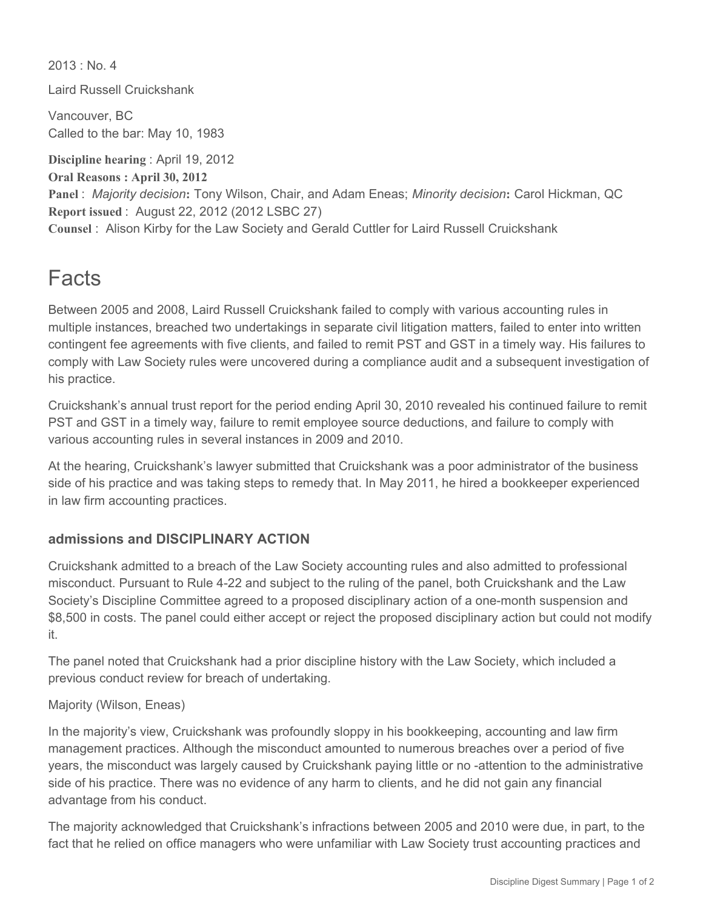$2013 \cdot N_0$  4

Laird Russell Cruickshank

Vancouver, BC Called to the bar: May 10, 1983

**Discipline hearing** : April 19, 2012 **Oral Reasons : April 30, 2012 Panel** : *Majority decision***:** Tony Wilson, Chair, and Adam Eneas; *Minority decision***:** Carol Hickman, QC **Report issued** : August 22, 2012 (2012 LSBC 27) **Counsel** : Alison Kirby for the Law Society and Gerald Cuttler for Laird Russell Cruickshank

## Facts

Between 2005 and 2008, Laird Russell Cruickshank failed to comply with various accounting rules in multiple instances, breached two undertakings in separate civil litigation matters, failed to enter into written contingent fee agreements with five clients, and failed to remit PST and GST in a timely way. His failures to comply with Law Society rules were uncovered during a compliance audit and a subsequent investigation of his practice.

Cruickshank's annual trust report for the period ending April 30, 2010 revealed his continued failure to remit PST and GST in a timely way, failure to remit employee source deductions, and failure to comply with various accounting rules in several instances in 2009 and 2010.

At the hearing, Cruickshank's lawyer submitted that Cruickshank was a poor administrator of the business side of his practice and was taking steps to remedy that. In May 2011, he hired a bookkeeper experienced in law firm accounting practices.

## **admissions and DISCIPLINARY ACTION**

Cruickshank admitted to a breach of the Law Society accounting rules and also admitted to professional misconduct. Pursuant to Rule 4-22 and subject to the ruling of the panel, both Cruickshank and the Law Society's Discipline Committee agreed to a proposed disciplinary action of a one-month suspension and \$8,500 in costs. The panel could either accept or reject the proposed disciplinary action but could not modify it.

The panel noted that Cruickshank had a prior discipline history with the Law Society, which included a previous conduct review for breach of undertaking.

Majority (Wilson, Eneas)

In the majority's view, Cruickshank was profoundly sloppy in his bookkeeping, accounting and law firm management practices. Although the misconduct amounted to numerous breaches over a period of five years, the misconduct was largely caused by Cruickshank paying little or no -attention to the administrative side of his practice. There was no evidence of any harm to clients, and he did not gain any financial advantage from his conduct.

The majority acknowledged that Cruickshank's infractions between 2005 and 2010 were due, in part, to the fact that he relied on office managers who were unfamiliar with Law Society trust accounting practices and